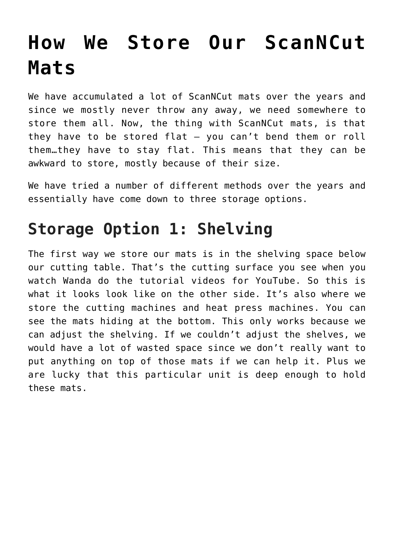## **[How We Store Our ScanNCut](https://www.alandacraft.com/2022/06/23/how-we-store-our-scanncut-mats/) [Mats](https://www.alandacraft.com/2022/06/23/how-we-store-our-scanncut-mats/)**

We have accumulated a lot of ScanNCut mats over the years and since we mostly never throw any away, we need somewhere to store them all. Now, the thing with ScanNCut mats, is that they have to be stored flat – you can't bend them or roll them…they have to stay flat. This means that they can be awkward to store, mostly because of their size.

We have tried a number of different methods over the years and essentially have come down to three storage options.

## **Storage Option 1: Shelving**

The first way we store our mats is in the shelving space below our cutting table. That's the cutting surface you see when you watch Wanda do the tutorial videos for YouTube. So this is what it looks look like on the other side. It's also where we store the cutting machines and heat press machines. You can see the mats hiding at the bottom. This only works because we can adjust the shelving. If we couldn't adjust the shelves, we would have a lot of wasted space since we don't really want to put anything on top of those mats if we can help it. Plus we are lucky that this particular unit is deep enough to hold these mats.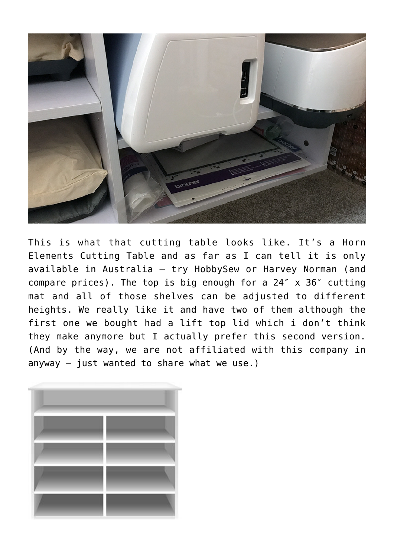

This is what that cutting table looks like. It's a Horn Elements Cutting Table and as far as I can tell it is only available in Australia – try HobbySew or Harvey Norman (and compare prices). The top is big enough for a 24″ x 36″ cutting mat and all of those shelves can be adjusted to different heights. We really like it and have two of them although the first one we bought had a lift top lid which i don't think they make anymore but I actually prefer this second version. (And by the way, we are not affiliated with this company in anyway – just wanted to share what we use.)

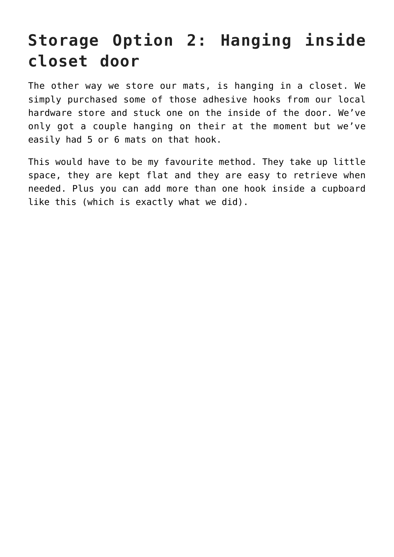## **Storage Option 2: Hanging inside closet door**

The other way we store our mats, is hanging in a closet. We simply purchased some of those adhesive hooks from our local hardware store and stuck one on the inside of the door. We've only got a couple hanging on their at the moment but we've easily had 5 or 6 mats on that hook.

This would have to be my favourite method. They take up little space, they are kept flat and they are easy to retrieve when needed. Plus you can add more than one hook inside a cupboard like this (which is exactly what we did).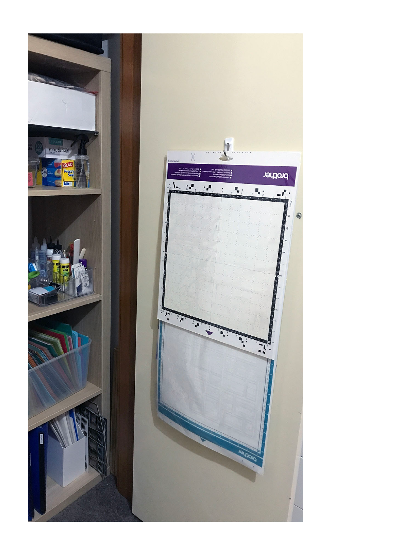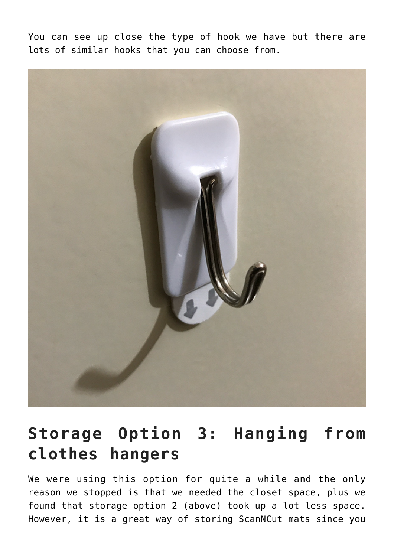You can see up close the type of hook we have but there are lots of similar hooks that you can choose from.



## **Storage Option 3: Hanging from clothes hangers**

We were using this option for quite a while and the only reason we stopped is that we needed the closet space, plus we found that storage option 2 (above) took up a lot less space. However, it is a great way of storing ScanNCut mats since you